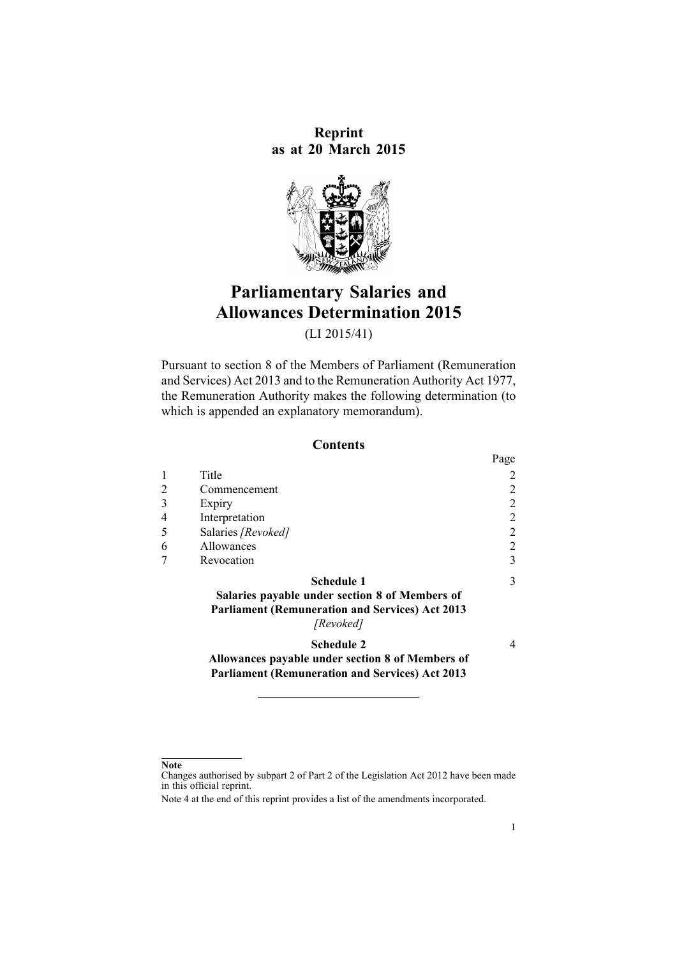**Reprint as at 20 March 2015**



# **Parliamentary Salaries and Allowances Determination 2015**

(LI 2015/41)

Pursuant to [section](http://www.legislation.govt.nz/pdflink.aspx?id=DLM4034270) 8 of the Members of Parliament (Remuneration and Services) Act 2013 and to the [Remuneration](http://www.legislation.govt.nz/pdflink.aspx?id=DLM15636) Authority Act 1977, the Remuneration Authority makes the following determination (to which is appended an explanatory [memorandum](#page-3-0)).

### **Contents**

|   |                                                                                                                                            | Page |
|---|--------------------------------------------------------------------------------------------------------------------------------------------|------|
|   | Title                                                                                                                                      |      |
| 2 | Commencement                                                                                                                               | 2    |
| 3 | Expiry                                                                                                                                     | 2    |
|   | Interpretation                                                                                                                             | 2    |
| 5 | Salaries [Revoked]                                                                                                                         | 2    |
| 6 | Allowances                                                                                                                                 | 2    |
|   | Revocation                                                                                                                                 | 3    |
|   | <b>Schedule 1</b><br>Salaries payable under section 8 of Members of<br><b>Parliament (Remuneration and Services) Act 2013</b><br>[Revoked] | 3    |
|   | <b>Schedule 2</b>                                                                                                                          | 4    |

**[Allowances](#page-3-0) payable under section 8 of Members of Parliament [\(Remuneration](#page-3-0) and Services) Act 2013**

#### **Note**

Changes authorised by [subpart](http://www.legislation.govt.nz/pdflink.aspx?id=DLM2998524) 2 of Part 2 of the Legislation Act 2012 have been made in this official reprint.

Note 4 at the end of this reprint provides <sup>a</sup> list of the amendments incorporated.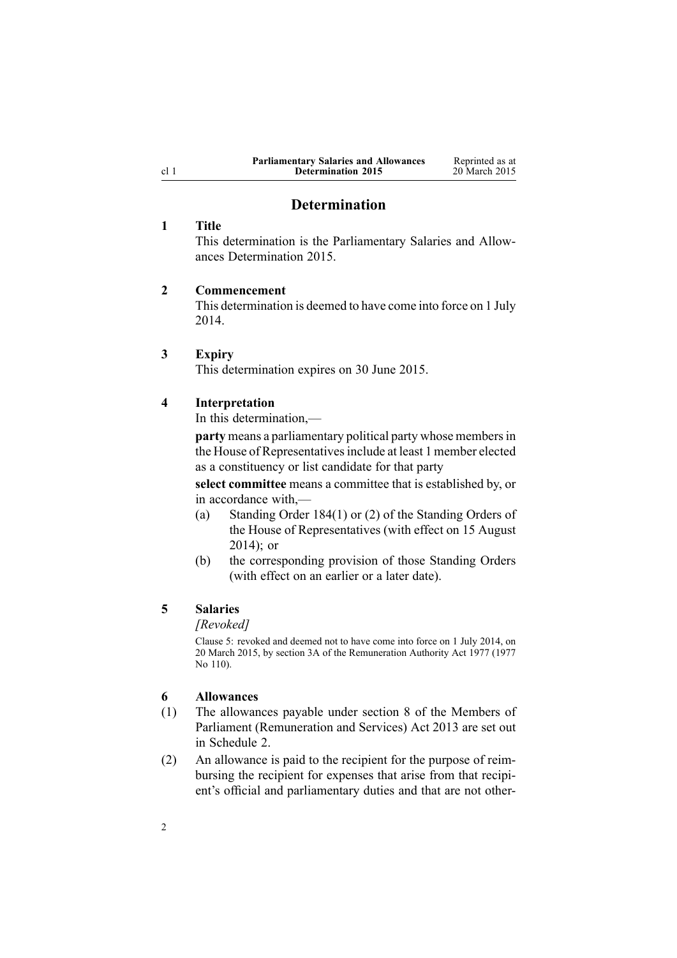| <b>Parliamentary Salaries and Allowances</b> | Reprinted as at |
|----------------------------------------------|-----------------|
| <b>Determination 2015</b>                    | 20 March 2015   |

### **Determination**

### <span id="page-1-0"></span>**1 Title**

This determination is the Parliamentary Salaries and Allowances Determination 2015.

### **2 Commencement**

This determination is deemed to have come into force on 1 July 2014.

#### **3 Expiry**

This determination expires on 30 June 2015.

#### **4 Interpretation**

In this determination $\,-\,$ 

**party** means <sup>a</sup> parliamentary political party whose membersin the House of Representatives include at least 1 member elected as <sup>a</sup> constituency or list candidate for that party

**select committee** means <sup>a</sup> committee that is established by, or in accordance with,—

- (a) Standing Order 184(1) or (2) of the Standing Orders of the House of Representatives (with effect on 15 August 2014); or
- (b) the corresponding provision of those Standing Orders (with effect on an earlier or <sup>a</sup> later date).

# **5 Salaries**

#### *[Revoked]*

Clause 5: revoked and deemed not to have come into force on 1 July 2014, on 20 March 2015, by [section](http://www.legislation.govt.nz/pdflink.aspx?id=DLM6417100) 3A of the Remuneration Authority Act 1977 (1977 No 110).

### **6 Allowances**

- (1) The allowances payable under [section](http://www.legislation.govt.nz/pdflink.aspx?id=DLM4034270) 8 of the Members of Parliament (Remuneration and Services) Act 2013 are set out in [Schedule](#page-3-0) 2.
- (2) An allowance is paid to the recipient for the purpose of reimbursing the recipient for expenses that arise from that recipient's official and parliamentary duties and that are not other-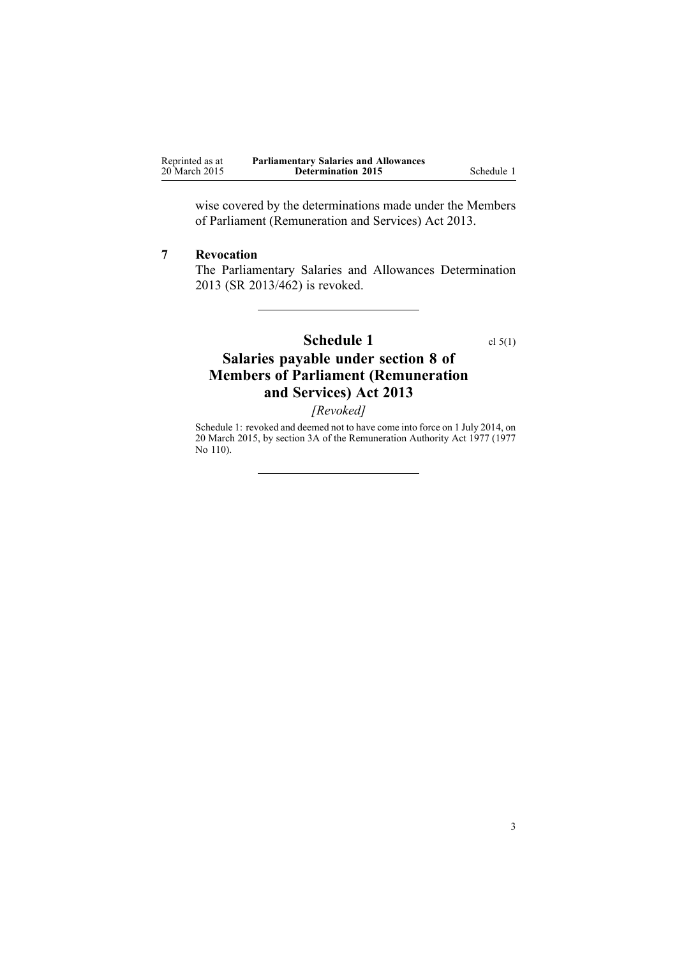<span id="page-2-0"></span>

| Reprinted as at | <b>Parliamentary Salaries and Allowances</b> |            |
|-----------------|----------------------------------------------|------------|
| 20 March 2015   | <b>Determination 2015</b>                    | Schedule 1 |

wise covered by the determinations made under the [Members](http://www.legislation.govt.nz/pdflink.aspx?id=DLM4034212) of Parliament [\(Remuneration](http://www.legislation.govt.nz/pdflink.aspx?id=DLM4034212) and Services) Act 2013.

### **7 Revocation**

The [Parliamentary](http://www.legislation.govt.nz/pdflink.aspx?id=DLM5736818) Salaries and Allowances Determination [2013](http://www.legislation.govt.nz/pdflink.aspx?id=DLM5736818) (SR 2013/462) is revoked.

# **Schedule 1** cl [5\(1\)](#page-1-0)

# **Salaries payable under section 8 of Members of Parliament (Remuneration and Services) Act 2013**

*[Revoked]*

Schedule 1: revoked and deemed not to have come into force on 1 July 2014, on 20 March 2015, by [section](http://www.legislation.govt.nz/pdflink.aspx?id=DLM6417100) 3A of the Remuneration Authority Act 1977 (1977 No 110).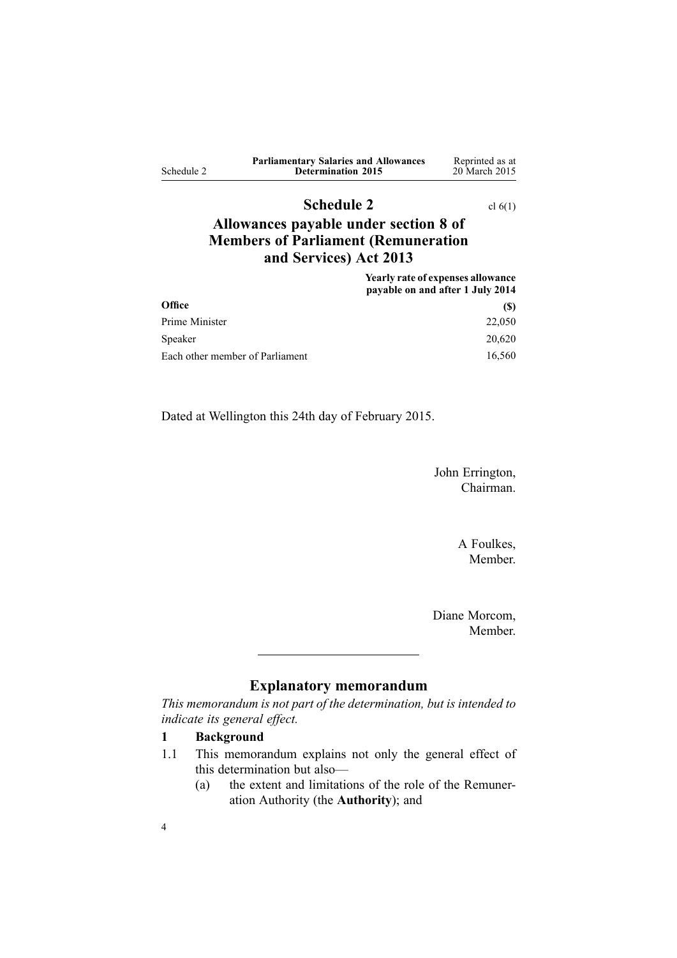<span id="page-3-0"></span>

|            | <b>Parliamentary Salaries and Allowances</b> | Reprinted as at |
|------------|----------------------------------------------|-----------------|
| Schedule 2 | <b>Determination 2015</b>                    | 20 March 2015   |

# **Schedule 2** cl [6\(1\)](#page-1-0)

# **Allowances payable under section 8 of Members of Parliament (Remuneration and Services) Act 2013**

**Yearly rate of expenses allowance payable on and after 1 July 2014 Office (\$)** Prime Minister 22,050 Speaker 20,620 Each other member of Parliament 16,560

Dated at Wellington this 24th day of February 2015.

John Errington, Chairman.

> A Foulkes, Member.

Diane Morcom, Member.

# **Explanatory memorandum**

*This memorandum is not par<sup>t</sup> of the determination, but is intended to indicate its general effect.*

### **1 Background**

- 1.1 This memorandum explains not only the general effect of this determination but also—
	- (a) the extent and limitations of the role of the Remuneration Authority (the **Authority**); and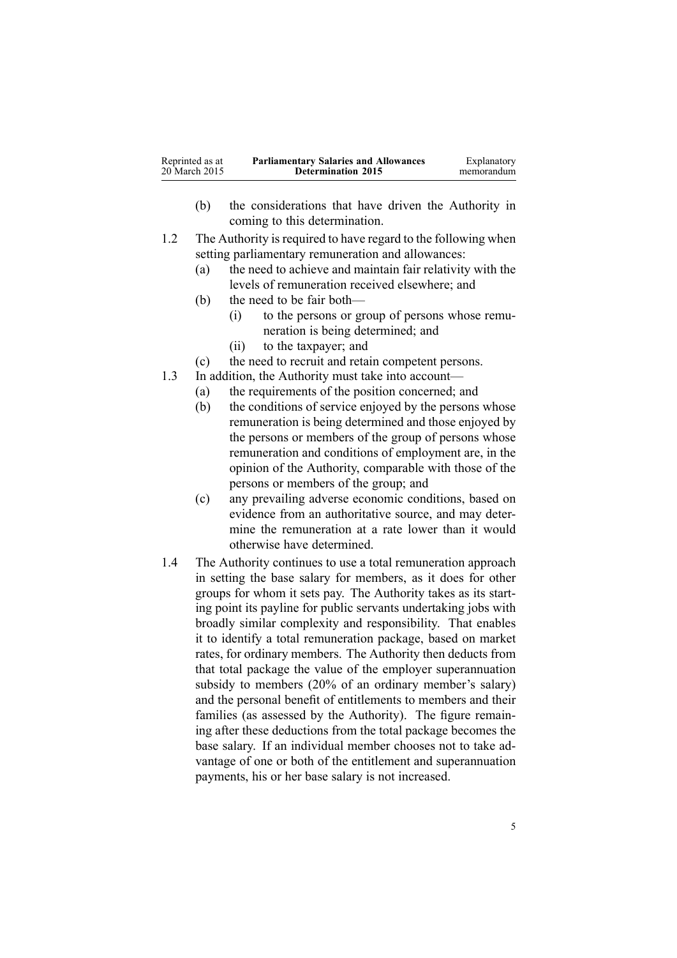- (b) the considerations that have driven the Authority in coming to this determination.
- 1.2 The Authority is required to have regard to the following when setting parliamentary remuneration and allowances:
	- (a) the need to achieve and maintain fair relativity with the levels of remuneration received elsewhere; and
	- (b) the need to be fair both—
		- (i) to the persons or group of persons whose remuneration is being determined; and
		- (ii) to the taxpayer; and
	- (c) the need to recruit and retain competent persons.
- 1.3 In addition, the Authority must take into account—
	- (a) the requirements of the position concerned; and
	- (b) the conditions of service enjoyed by the persons whose remuneration is being determined and those enjoyed by the persons or members of the group of persons whose remuneration and conditions of employment are, in the opinion of the Authority, comparable with those of the persons or members of the group; and
	- (c) any prevailing adverse economic conditions, based on evidence from an authoritative source, and may determine the remuneration at <sup>a</sup> rate lower than it would otherwise have determined.
- 1.4 The Authority continues to use <sup>a</sup> total remuneration approach in setting the base salary for members, as it does for other groups for whom it sets pay. The Authority takes as its starting point its payline for public servants undertaking jobs with broadly similar complexity and responsibility. That enables it to identify <sup>a</sup> total remuneration package, based on market rates, for ordinary members. The Authority then deducts from that total package the value of the employer superannuation subsidy to members (20% of an ordinary member's salary) and the personal benefit of entitlements to members and their families (as assessed by the Authority). The figure remaining after these deductions from the total package becomes the base salary. If an individual member chooses not to take advantage of one or both of the entitlement and superannuation payments, his or her base salary is not increased.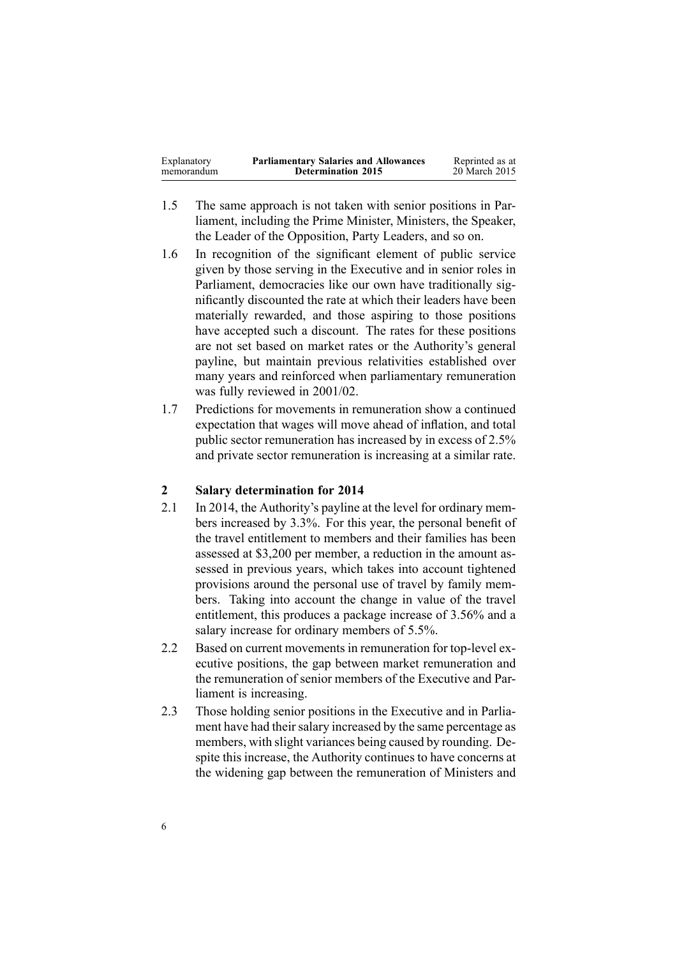| <b>Parliamentary Salaries and Allowances</b><br>Explanatory<br><b>Determination 2015</b><br>memorandum | Reprinted as at<br>20 March 2015 |
|--------------------------------------------------------------------------------------------------------|----------------------------------|
|--------------------------------------------------------------------------------------------------------|----------------------------------|

- 1.5 The same approach is not taken with senior positions in Parliament, including the Prime Minister, Ministers, the Speaker, the Leader of the Opposition, Party Leaders, and so on.
- 1.6 In recognition of the significant element of public service given by those serving in the Executive and in senior roles in Parliament, democracies like our own have traditionally significantly discounted the rate at which their leaders have been materially rewarded, and those aspiring to those positions have accepted such <sup>a</sup> discount. The rates for these positions are not set based on market rates or the Authority's general payline, but maintain previous relativities established over many years and reinforced when parliamentary remuneration was fully reviewed in 2001/02.
- 1.7 Predictions for movements in remuneration show <sup>a</sup> continued expectation that wages will move ahead of inflation, and total public sector remuneration has increased by in excess of 2.5% and private sector remuneration is increasing at <sup>a</sup> similar rate.

### **2 Salary determination for 2014**

- 2.1 In 2014, the Authority's payline at the level for ordinary members increased by 3.3%. For this year, the personal benefit of the travel entitlement to members and their families has been assessed at \$3,200 per member, <sup>a</sup> reduction in the amount assessed in previous years, which takes into account tightened provisions around the personal use of travel by family members. Taking into account the change in value of the travel entitlement, this produces <sup>a</sup> package increase of 3.56% and <sup>a</sup> salary increase for ordinary members of 5.5%.
- 2.2 Based on current movements in remuneration for top-level executive positions, the gap between market remuneration and the remuneration of senior members of the Executive and Parliament is increasing.
- 2.3 Those holding senior positions in the Executive and in Parliament have had their salary increased by the same percentage as members, with slight variances being caused by rounding. Despite this increase, the Authority continues to have concerns at the widening gap between the remuneration of Ministers and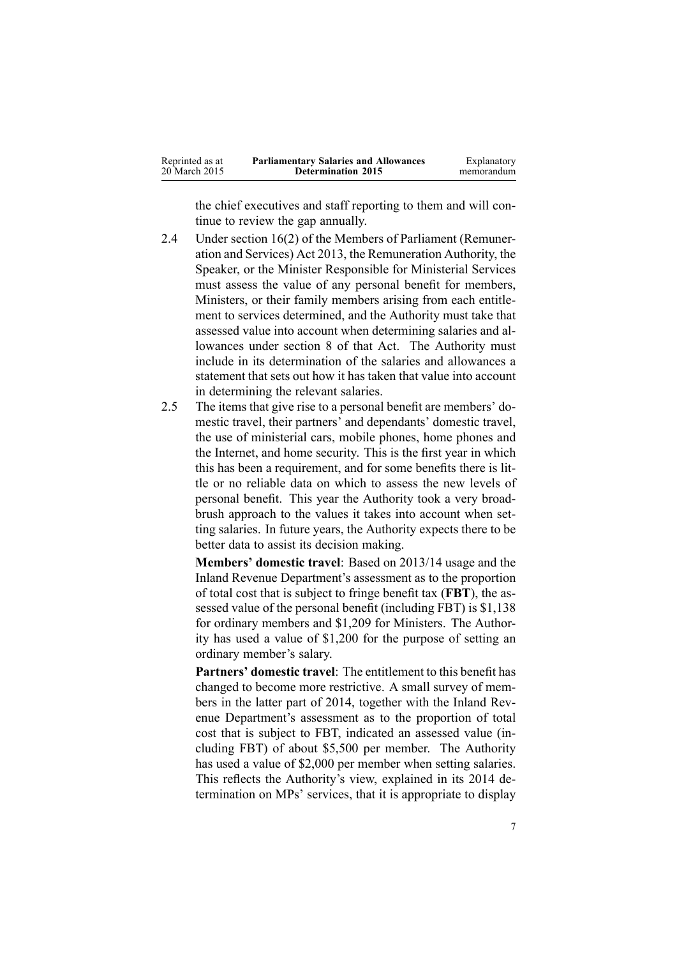| Reprinted as at | <b>Parliamentary Salaries and Allowances</b> | Explanatory |
|-----------------|----------------------------------------------|-------------|
| 20 March 2015   | <b>Determination 2015</b>                    | memorandum  |
|                 |                                              |             |

the chief executives and staff reporting to them and will continue to review the gap annually.

- 2.4 Under [section](http://www.legislation.govt.nz/pdflink.aspx?id=DLM4034280) 16(2) of the Members of Parliament (Remuneration and Services) Act 2013, the Remuneration Authority, the Speaker, or the Minister Responsible for Ministerial Services must assess the value of any personal benefit for members, Ministers, or their family members arising from each entitlement to services determined, and the Authority must take that assessed value into account when determining salaries and allowances under [section](http://www.legislation.govt.nz/pdflink.aspx?id=DLM4034270) 8 of that Act. The Authority must include in its determination of the salaries and allowances <sup>a</sup> statement that sets out how it has taken that value into account in determining the relevant salaries.
- 2.5 The items that give rise to <sup>a</sup> personal benefit are members' domestic travel, their partners' and dependants' domestic travel, the use of ministerial cars, mobile phones, home phones and the Internet, and home security. This is the first year in which this has been <sup>a</sup> requirement, and for some benefits there is little or no reliable data on which to assess the new levels of personal benefit. This year the Authority took <sup>a</sup> very broadbrush approach to the values it takes into account when setting salaries. In future years, the Authority expects there to be better data to assist its decision making.

**Members' domestic travel**: Based on 2013/14 usage and the Inland Revenue Department's assessment as to the proportion of total cost that is subject to fringe benefit tax (**FBT**), the assessed value of the personal benefit (including FBT) is \$1,138 for ordinary members and \$1,209 for Ministers. The Authority has used <sup>a</sup> value of \$1,200 for the purpose of setting an ordinary member's salary.

**Partners' domestic travel**: The entitlement to this benefit has changed to become more restrictive. A small survey of members in the latter par<sup>t</sup> of 2014, together with the Inland Revenue Department's assessment as to the proportion of total cost that is subject to FBT, indicated an assessed value (including FBT) of about \$5,500 per member. The Authority has used <sup>a</sup> value of \$2,000 per member when setting salaries. This reflects the Authority's view, explained in its 2014 determination on MPs' services, that it is appropriate to display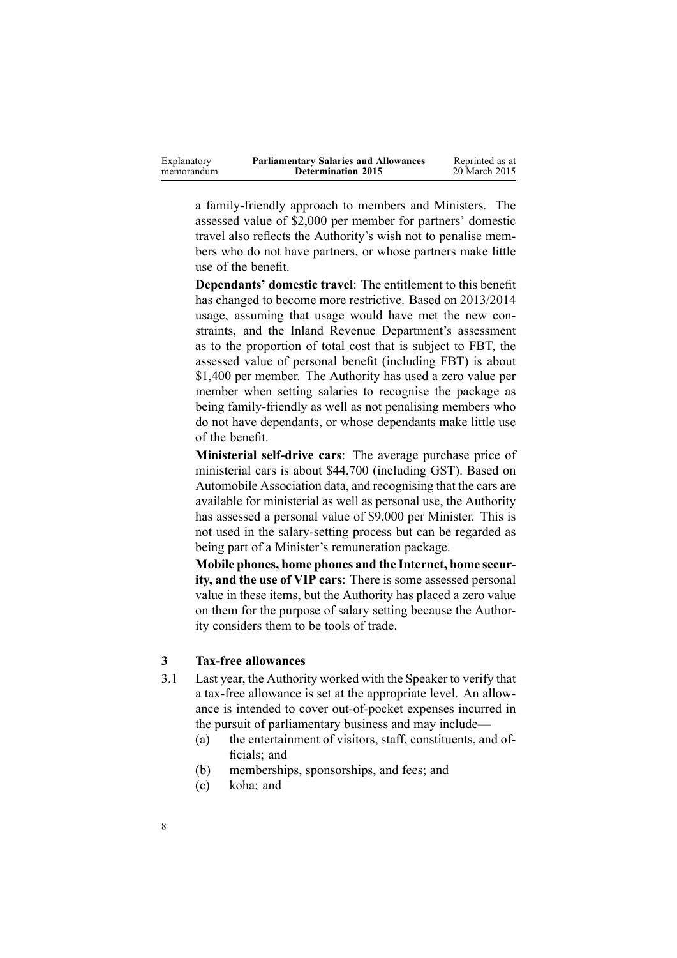<sup>a</sup> family-friendly approach to members and Ministers. The assessed value of \$2,000 per member for partners' domestic travel also reflects the Authority's wish not to penalise members who do not have partners, or whose partners make little use of the benefit.

**Dependants' domestic travel**: The entitlement to this benefit has changed to become more restrictive. Based on 2013/2014 usage, assuming that usage would have met the new constraints, and the Inland Revenue Department's assessment as to the proportion of total cost that is subject to FBT, the assessed value of personal benefit (including FBT) is about \$1,400 per member. The Authority has used <sup>a</sup> zero value per member when setting salaries to recognise the package as being family-friendly as well as not penalising members who do not have dependants, or whose dependants make little use of the benefit.

**Ministerial self-drive cars**: The average purchase price of ministerial cars is about \$44,700 (including GST). Based on Automobile Association data, and recognising that the cars are available for ministerial as well as personal use, the Authority has assessed <sup>a</sup> personal value of \$9,000 per Minister. This is not used in the salary-setting process but can be regarded as being par<sup>t</sup> of <sup>a</sup> Minister's remuneration package.

**Mobile phones, home phones and the Internet, home security, and the use of VIP cars**: There is some assessed personal value in these items, but the Authority has placed <sup>a</sup> zero value on them for the purpose of salary setting because the Authority considers them to be tools of trade.

### **3 Tax-free allowances**

- 3.1 Last year, the Authority worked with the Speaker to verify that <sup>a</sup> tax-free allowance is set at the appropriate level. An allowance is intended to cover out-of-pocket expenses incurred in the pursuit of parliamentary business and may include—
	- (a) the entertainment of visitors, staff, constituents, and officials; and
	- (b) memberships, sponsorships, and fees; and
	- (c) koha; and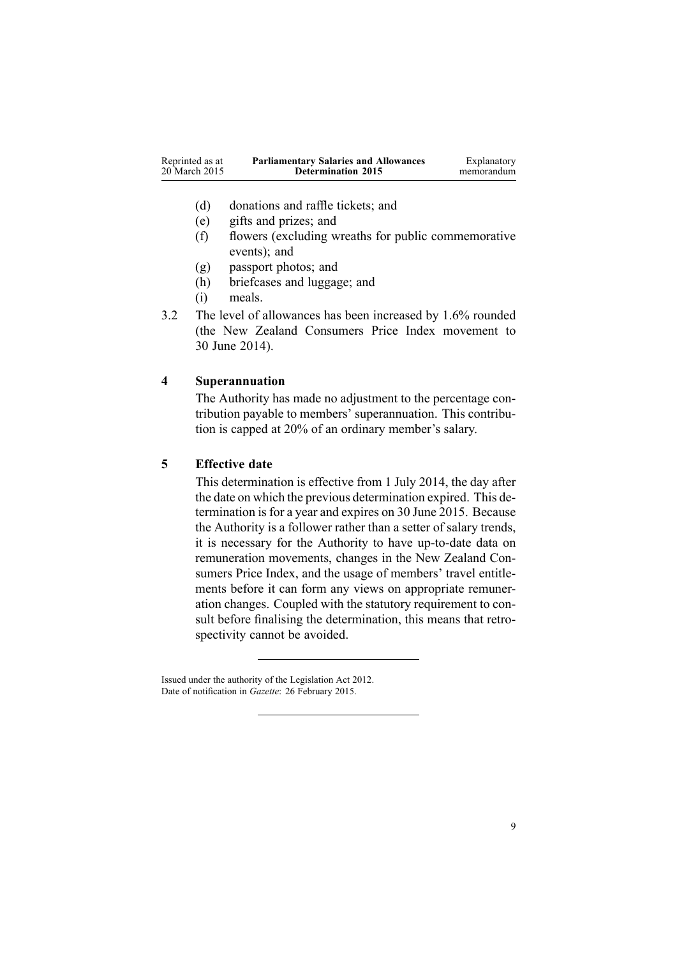| Reprinted as at | <b>Parliamentary Salaries and Allowances</b> | Explanatory |
|-----------------|----------------------------------------------|-------------|
| 20 March 2015   | <b>Determination 2015</b>                    | memorandum  |
|                 |                                              |             |

- (d) donations and raffle tickets; and
- (e) gifts and prizes; and
- (f) flowers (excluding wreaths for public commemorative events); and
- (g) passpor<sup>t</sup> photos; and
- (h) briefcases and luggage; and
- (i) meals.
- 3.2 The level of allowances has been increased by 1.6% rounded (the New Zealand Consumers Price Index movement to 30 June 2014).

## **4 Superannuation**

The Authority has made no adjustment to the percentage contribution payable to members' superannuation. This contribution is capped at 20% of an ordinary member's salary.

### **5 Effective date**

This determination is effective from 1 July 2014, the day after the date on which the previous determination expired. This determination is for a year and expires on 30 June 2015. Because the Authority is <sup>a</sup> follower rather than <sup>a</sup> setter of salary trends, it is necessary for the Authority to have up-to-date data on remuneration movements, changes in the New Zealand Consumers Price Index, and the usage of members' travel entitlements before it can form any views on appropriate remuneration changes. Coupled with the statutory requirement to consult before finalising the determination, this means that retrospectivity cannot be avoided.

Issued under the authority of the [Legislation](http://www.legislation.govt.nz/pdflink.aspx?id=DLM2997643) Act 2012. Date of notification in *Gazette*: 26 February 2015.